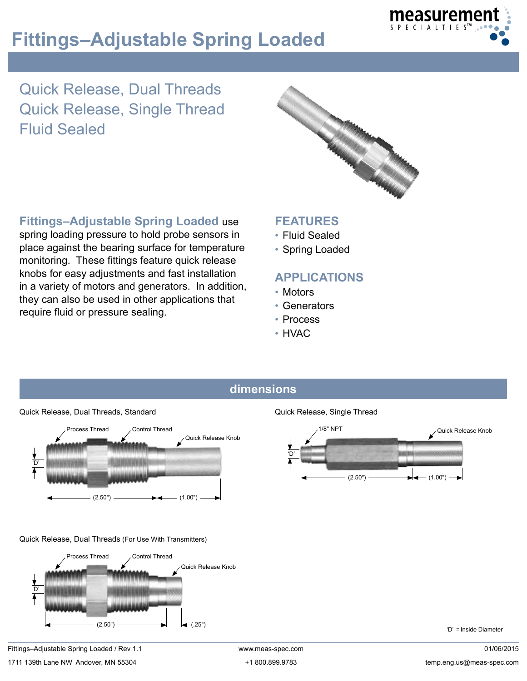



Quick Release, Dual Threads Quick Release, Single Thread Fluid Sealed



**Fittings–Adjustable Spring Loaded** use spring loading pressure to hold probe sensors in place against the bearing surface for temperature monitoring. These fittings feature quick release knobs for easy adjustments and fast installation in a variety of motors and generators. In addition, they can also be used in other applications that require fluid or pressure sealing.

## **FEATURES**

- • Fluid Sealed
- Spring Loaded

# **APPLICATIONS**

- • Motors
- • Generators
- • Process
- • HVAC